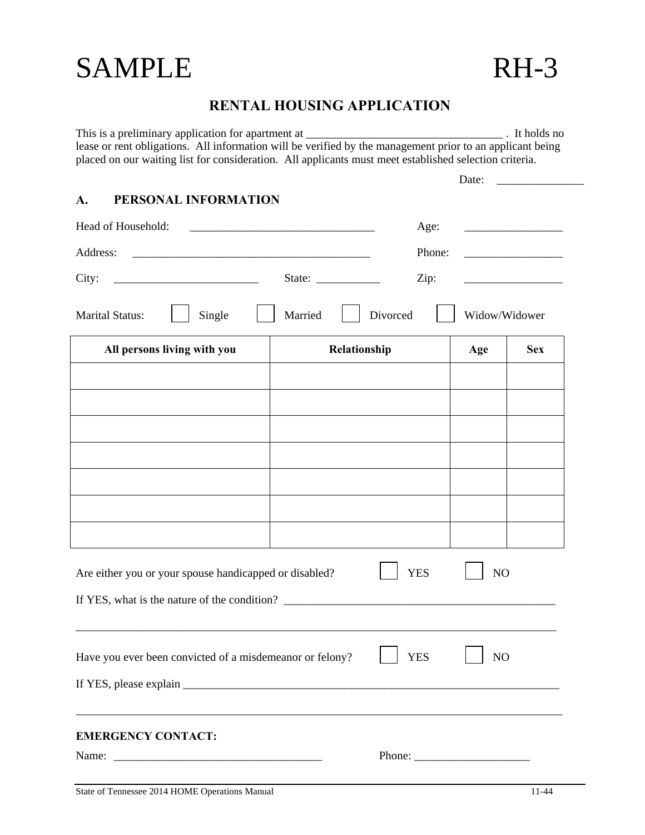# SAMPLE RH-3

# **RENTAL HOUSING APPLICATION**

This is a preliminary application for apartment at \_\_\_\_\_\_\_\_\_\_\_\_\_\_\_\_\_\_\_\_\_\_\_\_\_\_\_\_\_\_\_\_\_\_ . It holds no lease or rent obligations. All information will be verified by the management prior to an applicant being placed on our waiting list for consideration. All applicants must meet established selection criteria.

|                                                          |                                          | Date:<br><u> 1989 - Johann Barn, mars ar breithinn ar breithinn ar breithinn ar breithinn ar breithinn ar breithinn ar br</u> |
|----------------------------------------------------------|------------------------------------------|-------------------------------------------------------------------------------------------------------------------------------|
| PERSONAL INFORMATION<br>A.                               |                                          |                                                                                                                               |
| Head of Household:                                       |                                          | Age:                                                                                                                          |
| Address:                                                 |                                          | Phone:                                                                                                                        |
| City:                                                    | State: $\frac{\phantom{1}}{\phantom{1}}$ | Zip:                                                                                                                          |
| <b>Marital Status:</b><br>Single                         | Divorced<br>Married                      | Widow/Widower                                                                                                                 |
| All persons living with you                              | Relationship                             | <b>Sex</b><br>Age                                                                                                             |
|                                                          |                                          |                                                                                                                               |
|                                                          |                                          |                                                                                                                               |
|                                                          |                                          |                                                                                                                               |
|                                                          |                                          |                                                                                                                               |
|                                                          |                                          |                                                                                                                               |
|                                                          |                                          |                                                                                                                               |
|                                                          |                                          |                                                                                                                               |
| Are either you or your spouse handicapped or disabled?   | <b>YES</b>                               | NO                                                                                                                            |
|                                                          |                                          |                                                                                                                               |
| Have you ever been convicted of a misdemeanor or felony? | <b>YES</b>                               | NO                                                                                                                            |
|                                                          |                                          |                                                                                                                               |
| <b>EMERGENCY CONTACT:</b>                                |                                          |                                                                                                                               |
|                                                          |                                          | Phone: $\frac{1}{\sqrt{1-\frac{1}{2}} \cdot \frac{1}{2}}$                                                                     |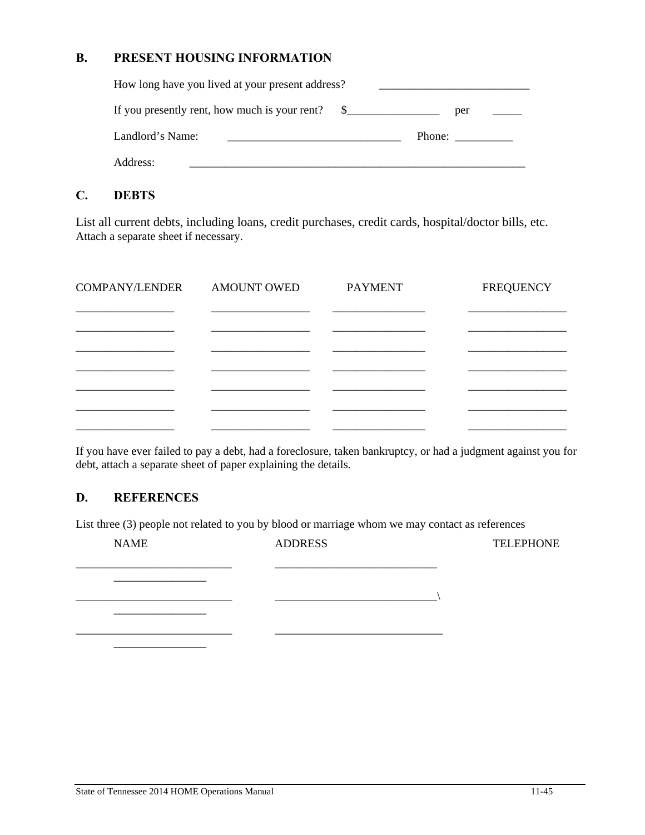### **B. PRESENT HOUSING INFORMATION**

| How long have you lived at your present address? |               |        |  |  |
|--------------------------------------------------|---------------|--------|--|--|
| If you presently rent, how much is your rent?    | $\frac{1}{2}$ | per    |  |  |
| Landlord's Name:                                 |               | Phone: |  |  |
| Address:                                         |               |        |  |  |

# **C. DEBTS**

List all current debts, including loans, credit purchases, credit cards, hospital/doctor bills, etc. Attach a separate sheet if necessary.

| <b>COMPANY/LENDER</b> | <b>AMOUNT OWED</b> | <b>PAYMENT</b> | <b>FREQUENCY</b> |
|-----------------------|--------------------|----------------|------------------|
|                       |                    |                |                  |
|                       |                    |                |                  |
|                       |                    |                |                  |
|                       |                    |                |                  |
|                       |                    |                |                  |
|                       |                    |                |                  |

If you have ever failed to pay a debt, had a foreclosure, taken bankruptcy, or had a judgment against you for debt, attach a separate sheet of paper explaining the details.

## **D. REFERENCES**

List three (3) people not related to you by blood or marriage whom we may contact as references

| <b>NAME</b> | <b>ADDRESS</b> | <b>TELEPHONE</b> |
|-------------|----------------|------------------|
|             |                |                  |
|             |                |                  |
|             |                |                  |
|             |                |                  |
|             |                |                  |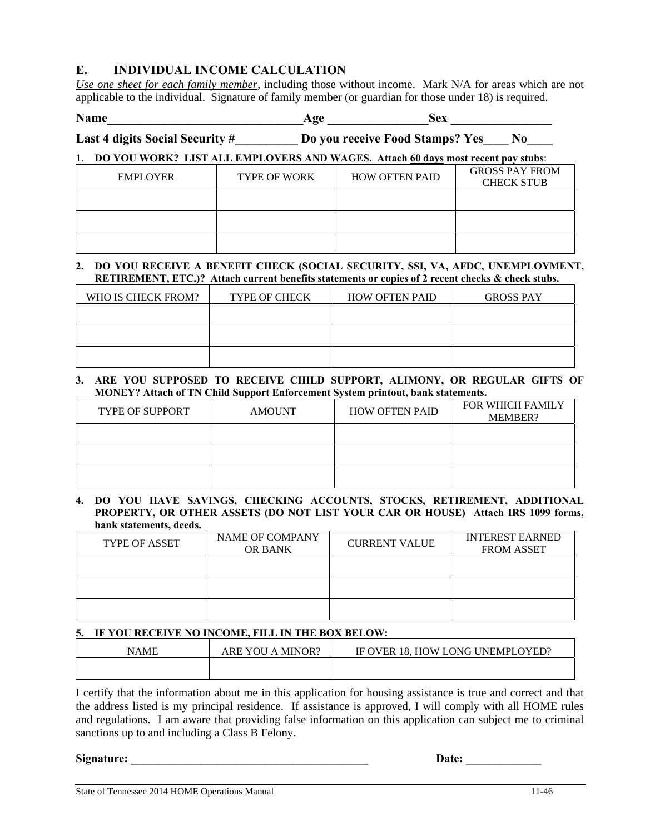# **E. INDIVIDUAL INCOME CALCULATION**

*Use one sheet for each family member*, including those without income. Mark N/A for areas which are not applicable to the individual. Signature of family member (or guardian for those under 18) is required.

**Name\_\_\_\_\_\_\_\_\_\_\_\_\_\_\_\_\_\_\_\_\_\_\_\_\_\_\_\_\_\_\_Age \_\_\_\_\_\_\_\_\_\_\_\_\_\_\_\_Sex \_\_\_\_\_\_\_\_\_\_\_\_\_\_\_\_** 

Last 4 digits Social Security #\_\_\_\_\_\_\_\_\_\_ Do you receive Food Stamps? Yes\_\_\_\_ No\_\_\_

#### 1. **DO YOU WORK? LIST ALL EMPLOYERS AND WAGES. Attach 60 days most recent pay stubs**:

| EMPLOYER | <b>TYPE OF WORK</b> | <b>HOW OFTEN PAID</b> | <b>GROSS PAY FROM</b><br><b>CHECK STUB</b> |
|----------|---------------------|-----------------------|--------------------------------------------|
|          |                     |                       |                                            |
|          |                     |                       |                                            |
|          |                     |                       |                                            |

#### **2. DO YOU RECEIVE A BENEFIT CHECK (SOCIAL SECURITY, SSI, VA, AFDC, UNEMPLOYMENT, RETIREMENT, ETC.)? Attach current benefits statements or copies of 2 recent checks & check stubs.**

| WHO IS CHECK FROM? | <b>TYPE OF CHECK</b> | <b>HOW OFTEN PAID</b> | <b>GROSS PAY</b> |
|--------------------|----------------------|-----------------------|------------------|
|                    |                      |                       |                  |
|                    |                      |                       |                  |
|                    |                      |                       |                  |

#### **3. ARE YOU SUPPOSED TO RECEIVE CHILD SUPPORT, ALIMONY, OR REGULAR GIFTS OF MONEY? Attach of TN Child Support Enforcement System printout, bank statements.**

| <b>TYPE OF SUPPORT</b> | <b>AMOUNT</b> | <b>HOW OFTEN PAID</b> | <b>FOR WHICH FAMILY</b><br>MEMBER? |
|------------------------|---------------|-----------------------|------------------------------------|
|                        |               |                       |                                    |
|                        |               |                       |                                    |
|                        |               |                       |                                    |

#### **4. DO YOU HAVE SAVINGS, CHECKING ACCOUNTS, STOCKS, RETIREMENT, ADDITIONAL PROPERTY, OR OTHER ASSETS (DO NOT LIST YOUR CAR OR HOUSE) Attach IRS 1099 forms, bank statements, deeds.**

| <b>TYPE OF ASSET</b> | <b>NAME OF COMPANY</b><br><b>OR BANK</b> | <b>CURRENT VALUE</b> | <b>INTEREST EARNED</b><br><b>FROM ASSET</b> |
|----------------------|------------------------------------------|----------------------|---------------------------------------------|
|                      |                                          |                      |                                             |
|                      |                                          |                      |                                             |
|                      |                                          |                      |                                             |

#### **5. IF YOU RECEIVE NO INCOME, FILL IN THE BOX BELOW:**

| NAME | MINOR?<br>ARE YOU<br>$\mathsf{A}$ | . 18. HOW LONG UNEMPLOYED?<br>IF OVER |
|------|-----------------------------------|---------------------------------------|
|      |                                   |                                       |

I certify that the information about me in this application for housing assistance is true and correct and that the address listed is my principal residence. If assistance is approved, I will comply with all HOME rules and regulations. I am aware that providing false information on this application can subject me to criminal sanctions up to and including a Class B Felony.

#### **Signature:**  $\qquad \qquad$  **Date:**  $\qquad \qquad$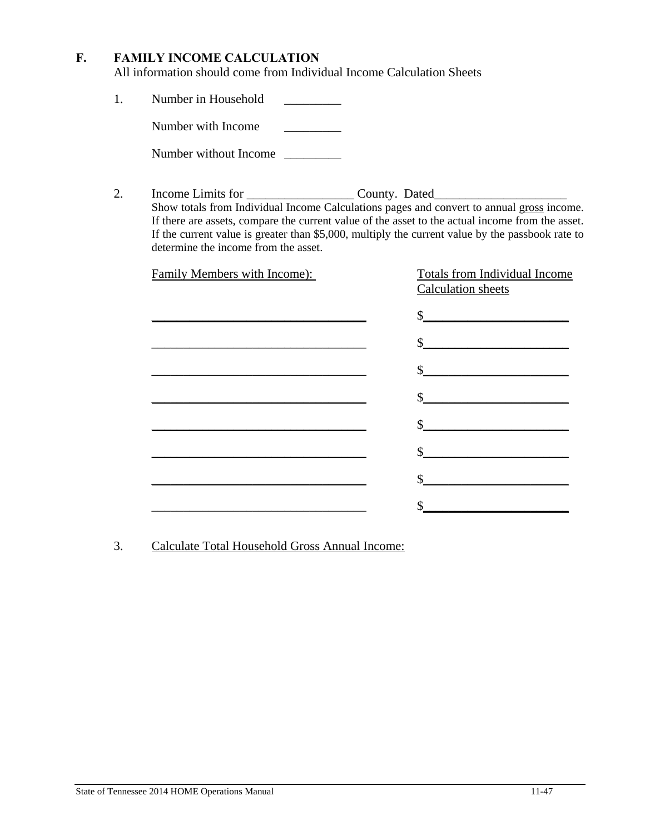# **F. FAMILY INCOME CALCULATION**

All information should come from Individual Income Calculation Sheets

1. Number in Household \_\_\_\_\_\_\_\_\_

Number with Income

Number without Income \_\_\_\_\_\_\_\_\_\_

2. Income Limits for \_\_\_\_\_\_\_\_\_\_\_\_\_\_\_\_\_\_\_\_\_\_\_\_\_\_ County. Dated\_\_\_\_\_\_\_\_\_\_\_\_\_\_\_\_\_\_\_ Show totals from Individual Income Calculations pages and convert to annual gross income. If there are assets, compare the current value of the asset to the actual income from the asset. If the current value is greater than \$5,000, multiply the current value by the passbook rate to determine the income from the asset.

| Family Members with Income):                               | Totals from Individual Income<br><b>Calculation</b> sheets |
|------------------------------------------------------------|------------------------------------------------------------|
|                                                            | $\frac{1}{2}$                                              |
|                                                            | $\frac{1}{2}$                                              |
| <u> 1980 - Johann Barbara, martxa alemaniar amerikan a</u> | $\frac{1}{2}$                                              |
|                                                            | $\frac{1}{2}$                                              |
|                                                            | $\sim$                                                     |
|                                                            | $\frac{1}{2}$                                              |
|                                                            |                                                            |
|                                                            |                                                            |

3. Calculate Total Household Gross Annual Income: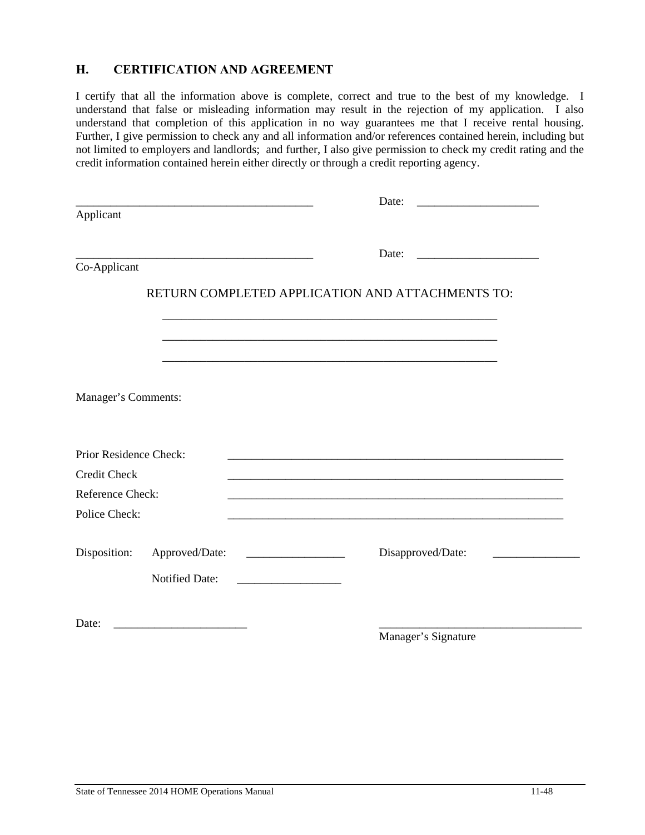# **H. CERTIFICATION AND AGREEMENT**

I certify that all the information above is complete, correct and true to the best of my knowledge. I understand that false or misleading information may result in the rejection of my application. I also understand that completion of this application in no way guarantees me that I receive rental housing. Further, I give permission to check any and all information and/or references contained herein, including but not limited to employers and landlords; and further, I also give permission to check my credit rating and the credit information contained herein either directly or through a credit reporting agency.

|                        |                                                                                                                       |                                                    | Date:                                            |  |
|------------------------|-----------------------------------------------------------------------------------------------------------------------|----------------------------------------------------|--------------------------------------------------|--|
| Applicant              |                                                                                                                       |                                                    |                                                  |  |
|                        | <u> 1989 - Johann Barbara, martin amerikan basar dan berasal dan berasal dalam basar dalam basar dalam basar dala</u> |                                                    | Date:                                            |  |
| Co-Applicant           |                                                                                                                       |                                                    |                                                  |  |
|                        |                                                                                                                       |                                                    | RETURN COMPLETED APPLICATION AND ATTACHMENTS TO: |  |
|                        |                                                                                                                       |                                                    |                                                  |  |
|                        |                                                                                                                       |                                                    |                                                  |  |
| Manager's Comments:    |                                                                                                                       |                                                    |                                                  |  |
| Prior Residence Check: |                                                                                                                       |                                                    |                                                  |  |
| Credit Check           |                                                                                                                       |                                                    |                                                  |  |
| Reference Check:       |                                                                                                                       |                                                    |                                                  |  |
| Police Check:          |                                                                                                                       |                                                    |                                                  |  |
| Disposition:           | Approved/Date:                                                                                                        |                                                    | Disapproved/Date:                                |  |
|                        | <b>Notified Date:</b>                                                                                                 | <u> 1989 - Johann Barbara, martin amerikan per</u> |                                                  |  |
| Date:                  |                                                                                                                       |                                                    |                                                  |  |
|                        |                                                                                                                       |                                                    | Manager's Signature                              |  |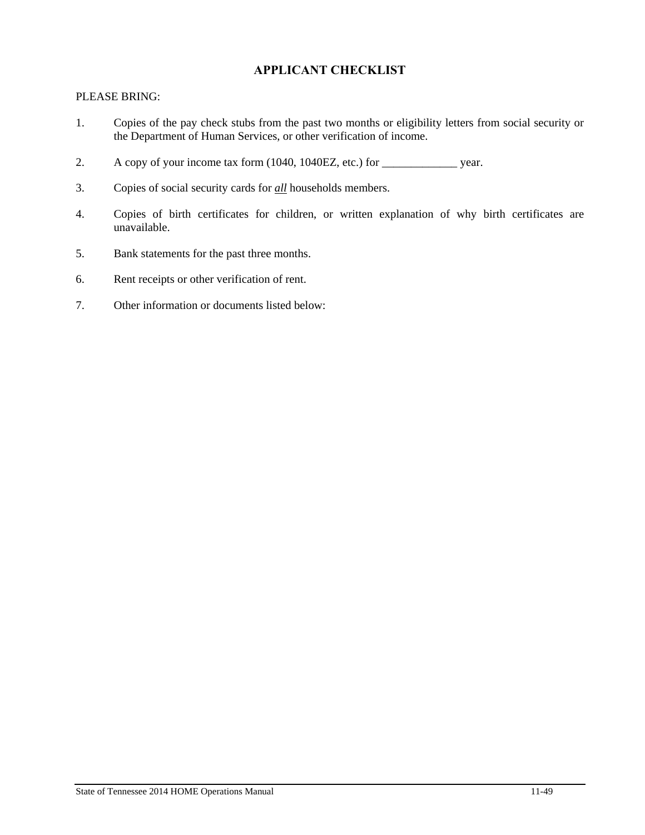# **APPLICANT CHECKLIST**

### PLEASE BRING:

- 1. Copies of the pay check stubs from the past two months or eligibility letters from social security or the Department of Human Services, or other verification of income.
- 2. A copy of your income tax form (1040, 1040EZ, etc.) for \_\_\_\_\_\_\_\_\_\_\_\_\_\_\_\_\_ year.
- 3. Copies of social security cards for *all* households members.
- 4. Copies of birth certificates for children, or written explanation of why birth certificates are unavailable.
- 5. Bank statements for the past three months.
- 6. Rent receipts or other verification of rent.
- 7. Other information or documents listed below: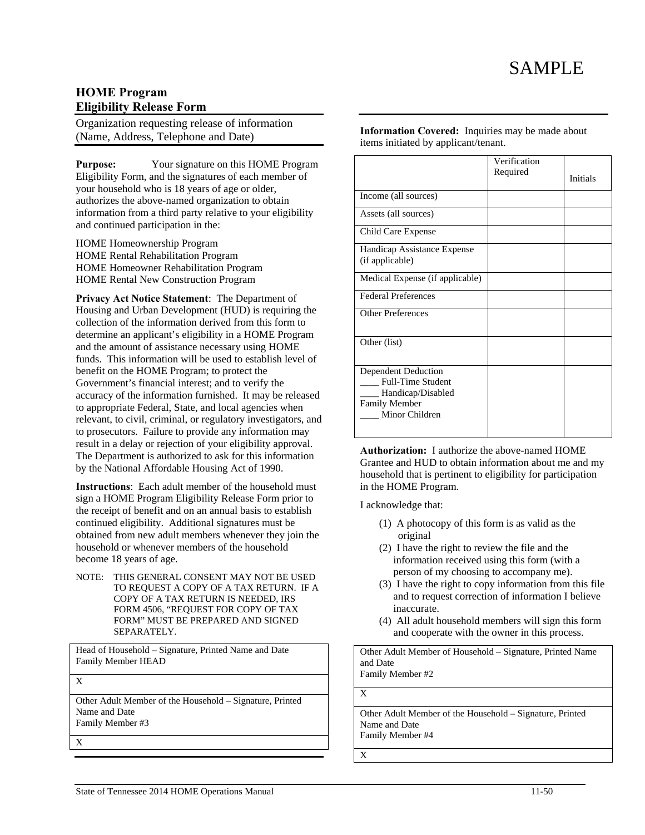# **HOME Program Eligibility Release Form**

Organization requesting release of information (Name, Address, Telephone and Date)

**Purpose:** Your signature on this HOME Program Eligibility Form, and the signatures of each member of your household who is 18 years of age or older, authorizes the above-named organization to obtain information from a third party relative to your eligibility and continued participation in the:

HOME Homeownership Program HOME Rental Rehabilitation Program HOME Homeowner Rehabilitation Program HOME Rental New Construction Program

**Privacy Act Notice Statement**: The Department of Housing and Urban Development (HUD) is requiring the collection of the information derived from this form to determine an applicant's eligibility in a HOME Program and the amount of assistance necessary using HOME funds. This information will be used to establish level of benefit on the HOME Program; to protect the Government's financial interest; and to verify the accuracy of the information furnished. It may be released to appropriate Federal, State, and local agencies when relevant, to civil, criminal, or regulatory investigators, and to prosecutors. Failure to provide any information may result in a delay or rejection of your eligibility approval. The Department is authorized to ask for this information by the National Affordable Housing Act of 1990.

**Instructions**: Each adult member of the household must sign a HOME Program Eligibility Release Form prior to the receipt of benefit and on an annual basis to establish continued eligibility. Additional signatures must be obtained from new adult members whenever they join the household or whenever members of the household become 18 years of age.

NOTE: THIS GENERAL CONSENT MAY NOT BE USED TO REQUEST A COPY OF A TAX RETURN. IF A COPY OF A TAX RETURN IS NEEDED, IRS FORM 4506, "REQUEST FOR COPY OF TAX FORM" MUST BE PREPARED AND SIGNED SEPARATELY.

Head of Household – Signature, Printed Name and Date Family Member HEAD

X

Other Adult Member of the Household – Signature, Printed Name and Date Family Member #3

X

**Information Covered:** Inquiries may be made about items initiated by applicant/tenant.

|                                                                                                                | Verification<br>Required | <b>Initials</b> |
|----------------------------------------------------------------------------------------------------------------|--------------------------|-----------------|
| Income (all sources)                                                                                           |                          |                 |
| Assets (all sources)                                                                                           |                          |                 |
| Child Care Expense                                                                                             |                          |                 |
| Handicap Assistance Expense<br>(if applicable)                                                                 |                          |                 |
| Medical Expense (if applicable)                                                                                |                          |                 |
| <b>Federal Preferences</b>                                                                                     |                          |                 |
| <b>Other Preferences</b>                                                                                       |                          |                 |
| Other (list)                                                                                                   |                          |                 |
| Dependent Deduction<br><b>Full-Time Student</b><br>Handicap/Disabled<br><b>Family Member</b><br>Minor Children |                          |                 |

**Authorization:** I authorize the above-named HOME Grantee and HUD to obtain information about me and my household that is pertinent to eligibility for participation in the HOME Program.

I acknowledge that:

- (1) A photocopy of this form is as valid as the original
- (2) I have the right to review the file and the information received using this form (with a person of my choosing to accompany me).
- (3) I have the right to copy information from this file and to request correction of information I believe inaccurate.
- (4) All adult household members will sign this form and cooperate with the owner in this process.

Other Adult Member of Household – Signature, Printed Name and Date Family Member #2 X Other Adult Member of the Household – Signature, Printed

Name and Date Family Member #4

X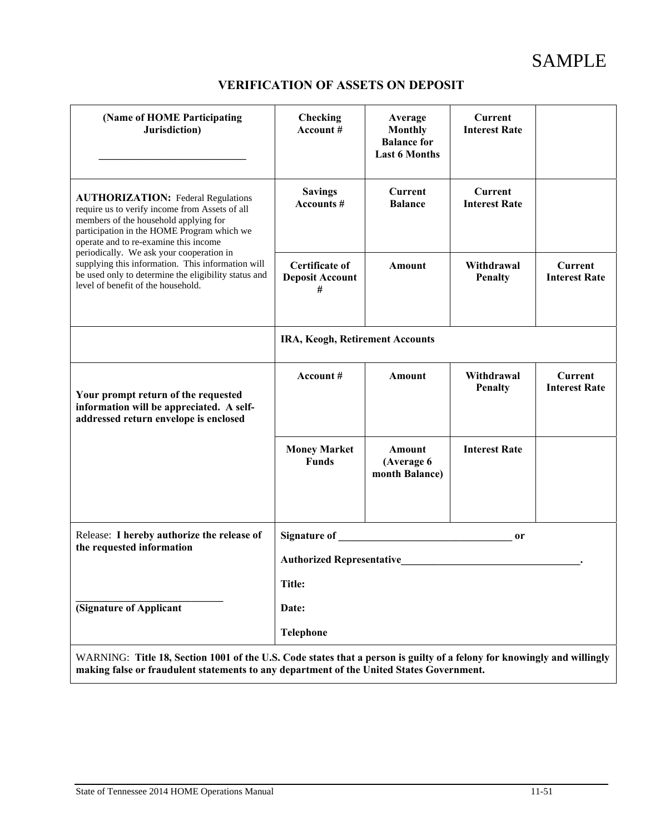# SAMPLE

# **VERIFICATION OF ASSETS ON DEPOSIT**

| <b>Checking</b><br>Account#                                                                                                                                                                                                                                              | Average<br><b>Monthly</b><br><b>Balance for</b><br><b>Last 6 Months</b> | <b>Current</b><br><b>Interest Rate</b> |                                                                                                                         |  |  |  |  |  |
|--------------------------------------------------------------------------------------------------------------------------------------------------------------------------------------------------------------------------------------------------------------------------|-------------------------------------------------------------------------|----------------------------------------|-------------------------------------------------------------------------------------------------------------------------|--|--|--|--|--|
| <b>Savings</b><br><b>Accounts #</b>                                                                                                                                                                                                                                      | Current<br><b>Balance</b>                                               | <b>Current</b><br><b>Interest Rate</b> |                                                                                                                         |  |  |  |  |  |
| <b>Certificate of</b><br><b>Deposit Account</b><br>#                                                                                                                                                                                                                     | Amount                                                                  | Withdrawal<br>Penalty                  | Current<br><b>Interest Rate</b>                                                                                         |  |  |  |  |  |
| IRA, Keogh, Retirement Accounts                                                                                                                                                                                                                                          |                                                                         |                                        |                                                                                                                         |  |  |  |  |  |
| Account#                                                                                                                                                                                                                                                                 | <b>Amount</b>                                                           | Withdrawal<br><b>Penalty</b>           | <b>Current</b><br><b>Interest Rate</b>                                                                                  |  |  |  |  |  |
| <b>Money Market</b><br><b>Funds</b>                                                                                                                                                                                                                                      | Amount<br>(Average 6<br>month Balance)                                  | <b>Interest Rate</b>                   |                                                                                                                         |  |  |  |  |  |
| Signature of the state of the state of the state of the state of the state of the state of the state of the state of the state of the state of the state of the state of the state of the state of the state of the state of t<br>0r<br><b>Authorized Representative</b> |                                                                         |                                        |                                                                                                                         |  |  |  |  |  |
| <b>Title:</b>                                                                                                                                                                                                                                                            |                                                                         |                                        |                                                                                                                         |  |  |  |  |  |
| (Signature of Applicant<br><b>Telephone</b>                                                                                                                                                                                                                              |                                                                         |                                        |                                                                                                                         |  |  |  |  |  |
|                                                                                                                                                                                                                                                                          | Date:                                                                   |                                        | WARNING: Title 18, Section 1001 of the U.S. Code states that a person is guilty of a felony for knowingly and willingly |  |  |  |  |  |

**making false or fraudulent statements to any department of the United States Government.**